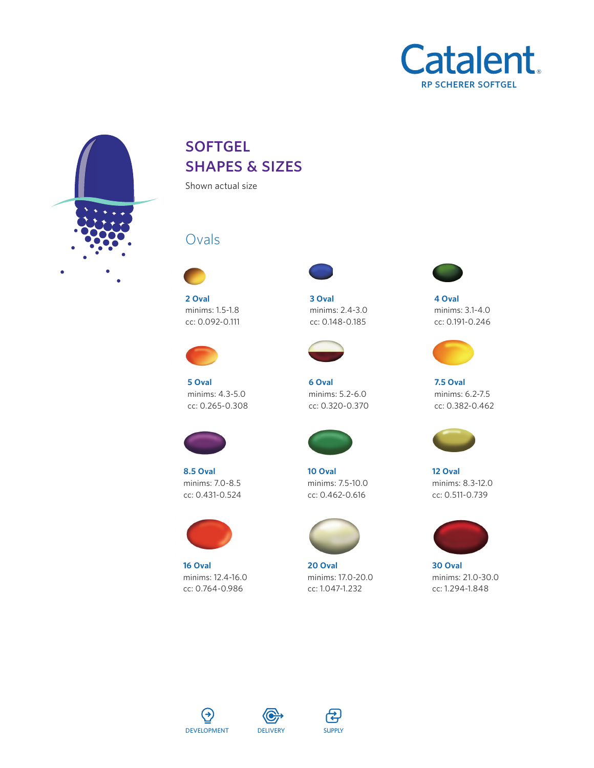



## **SOFTGEL** shapes & sizes

Shown actual size

## Ovals



**2 Oval** minims: 1.5-1.8 cc: 0.092-0.111



**5 Oval** minims: 4.3-5.0 cc: 0.265-0.308



**8.5 Oval** minims: 7.0-8.5 cc: 0.431-0.524



**16 Oval** minims: 12.4-16.0 cc: 0.764-0.986



**3 Oval** minims: 2.4-3.0 cc: 0.148-0.185



**6 Oval** minims: 5.2-6.0 cc: 0.320-0.370



**10 Oval** minims: 7.5-10.0 cc: 0.462-0.616



**20 Oval** minims: 17.0-20.0 cc: 1.047-1.232



**4 Oval** minims: 3.1-4.0 cc: 0.191-0.246



**7.5 Oval** minims: 6.2-7.5 cc: 0.382-0.462



**12 Oval** minims: 8.3-12.0 cc: 0.511-0.739



**30 Oval** minims: 21.0-30.0 cc: 1.294-1.848